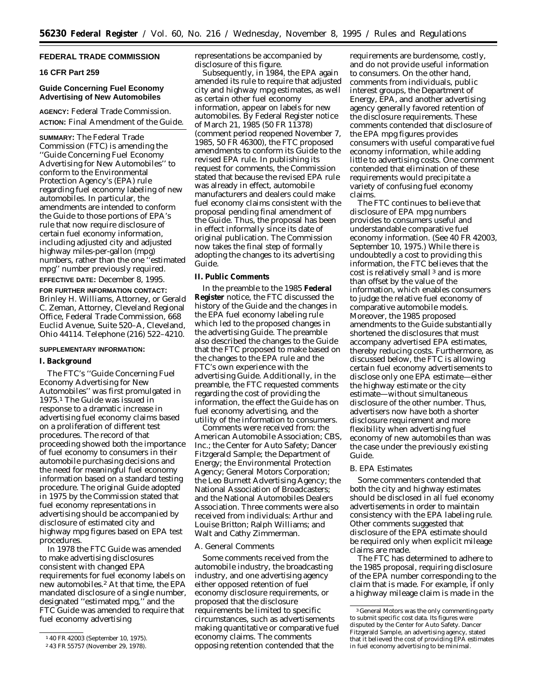# **FEDERAL TRADE COMMISSION**

### **16 CFR Part 259**

# **Guide Concerning Fuel Economy Advertising of New Automobiles**

**AGENCY:** Federal Trade Commission. **ACTION:** Final Amendment of the Guide.

**SUMMARY:** The Federal Trade Commission (FTC) is amending the ''Guide Concerning Fuel Economy Advertising for New Automobiles'' to conform to the Environmental Protection Agency's (EPA) rule regarding fuel economy labeling of new automobiles. In particular, the amendments are intended to conform the Guide to those portions of EPA's rule that now require disclosure of certain fuel economy information, including adjusted city and adjusted highway miles-per-gallon (mpg) numbers, rather than the one ''estimated mpg'' number previously required.

**EFFECTIVE DATE:** December 8, 1995.

**FOR FURTHER INFORMATION CONTACT:** Brinley H. Williams, Attorney, or Gerald C. Zeman, Attorney, Cleveland Regional Office, Federal Trade Commission, 668 Euclid Avenue, Suite 520–A, Cleveland, Ohio 44114. Telephone (216) 522–4210.

#### **SUPPLEMENTARY INFORMATION:**

### **I. Background**

The FTC's ''Guide Concerning Fuel Economy Advertising for New Automobiles'' was first promulgated in 1975.1 The Guide was issued in response to a dramatic increase in advertising fuel economy claims based on a proliferation of different test procedures. The record of that proceeding showed both the importance of fuel economy to consumers in their automobile purchasing decisions and the need for meaningful fuel economy information based on a standard testing procedure. The original Guide adopted in 1975 by the Commission stated that fuel economy representations in advertising should be accompanied by disclosure of estimated city and highway mpg figures based on EPA test procedures.

In 1978 the FTC Guide was amended to make advertising disclosures consistent with changed EPA requirements for fuel economy labels on new automobiles.2 At that time, the EPA mandated disclosure of a single number, designated ''estimated mpg,'' and the FTC Guide was amended to require that fuel economy advertising

representations be accompanied by disclosure of this figure.

Subsequently, in 1984, the EPA again amended its rule to require that adjusted city and highway mpg estimates, as well as certain other fuel economy information, appear on labels for new automobiles. By Federal Register notice of March 21, 1985 (50 FR 11378) (comment period reopened November 7, 1985, 50 FR 46300), the FTC proposed amendments to conform its Guide to the revised EPA rule. In publishing its request for comments, the Commission stated that because the revised EPA rule was already in effect, automobile manufacturers and dealers could make fuel economy claims consistent with the proposal pending final amendment of the Guide. Thus, the proposal has been in effect informally since its date of original publication. The Commission now takes the final step of formally adopting the changes to its advertising Guide.

#### **II. Public Comments**

In the preamble to the 1985 **Federal Register** notice, the FTC discussed the history of the Guide and the changes in the EPA fuel economy labeling rule which led to the proposed changes in the advertising Guide. The preamble also described the changes to the Guide that the FTC proposed to make based on the changes to the EPA rule and the FTC's own experience with the advertising Guide. Additionally, in the preamble, the FTC requested comments regarding the cost of providing the information, the effect the Guide has on fuel economy advertising, and the utility of the information to consumers.

Comments were received from: the American Automobile Association; CBS, Inc.; the Center for Auto Safety; Dancer Fitzgerald Sample; the Department of Energy; the Environmental Protection Agency; General Motors Corporation; the Leo Burnett Advertising Agency; the National Association of Broadcasters; and the National Automobiles Dealers Association. Three comments were also received from individuals: Arthur and Louise Britton; Ralph Williams; and Walt and Cathy Zimmerman.

### *A. General Comments*

Some comments received from the automobile industry, the broadcasting industry, and one advertising agency either opposed retention of fuel economy disclosure requirements, or proposed that the disclosure requirements be limited to specific circumstances, such as advertisements making quantitative or comparative fuel economy claims. The comments opposing retention contended that the

requirements are burdensome, costly, and do not provide useful information to consumers. On the other hand, comments from individuals, public interest groups, the Department of Energy, EPA, and another advertising agency generally favored retention of the disclosure requirements. These comments contended that disclosure of the EPA mpg figures provides consumers with useful comparative fuel economy information, while adding little to advertising costs. One comment contended that elimination of these requirements would precipitate a variety of confusing fuel economy claims.

The FTC continues to believe that disclosure of EPA mpg numbers provides to consumers useful and understandable comparative fuel economy information. (See 40 FR 42003, September 10, 1975.) While there is undoubtedly a cost to providing this information, the FTC believes that the cost is relatively small 3 and is more than offset by the value of the information, which enables consumers to judge the relative fuel economy of comparative automobile models. Moreover, the 1985 proposed amendments to the Guide substantially shortened the disclosures that must accompany advertised EPA estimates, thereby reducing costs. Furthermore, as discussed below, the FTC is allowing certain fuel economy advertisements to disclose only one EPA estimate—either the highway estimate or the city estimate—without simultaneous disclosure of the other number. Thus, advertisers now have both a shorter disclosure requirement and more flexibility when advertising fuel economy of new automobiles than was the case under the previously existing Guide.

# *B. EPA Estimates*

Some commenters contended that both the city and highway estimates should be disclosed in all fuel economy advertisements in order to maintain consistency with the EPA labeling rule. Other comments suggested that disclosure of the EPA estimate should be required only when explicit mileage claims are made.

The FTC has determined to adhere to the 1985 proposal, requiring disclosure of the EPA number corresponding to the claim that is made. For example, if only a highway mileage claim is made in the

<sup>1</sup> 40 FR 42003 (September 10, 1975).

<sup>2</sup> 43 FR 55757 (November 29, 1978).

<sup>3</sup> General Motors was the only commenting party to submit specific cost data. Its figures were disputed by the Center for Auto Safety. Dancer Fitzgerald Sample, an advertising agency, stated that it believed the cost of providing EPA estimates in fuel economy advertising to be minimal.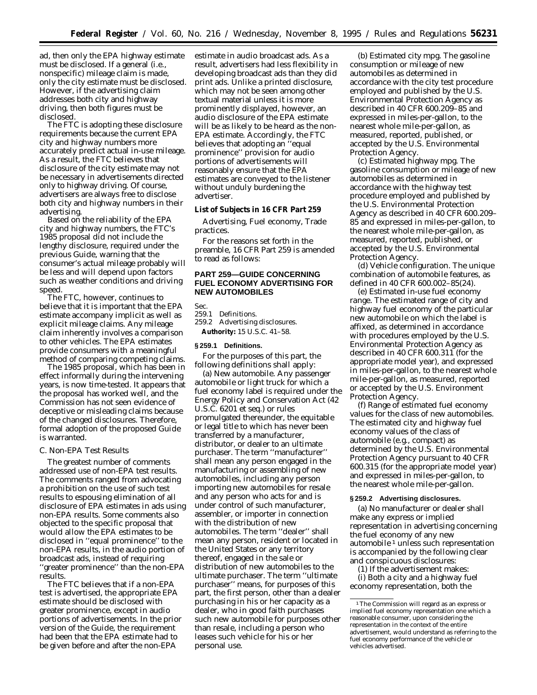ad, then only the EPA highway estimate must be disclosed. If a general (i.e., nonspecific) mileage claim is made, only the city estimate must be disclosed. However, if the advertising claim addresses both city and highway driving, then both figures must be disclosed.

The FTC is adopting these disclosure requirements because the current EPA city and highway numbers more accurately predict actual in-use mileage. As a result, the FTC believes that disclosure of the city estimate may not be necessary in advertisements directed *only* to highway driving. Of course, advertisers are always free to disclose both city and highway numbers in their advertising.

Based on the reliability of the EPA city and highway numbers, the FTC's 1985 proposal did not include the lengthy disclosure, required under the previous Guide, warning that the consumer's actual mileage probably will be less and will depend upon factors such as weather conditions and driving speed.

The FTC, however, continues to believe that it is important that the EPA estimate accompany implicit as well as explicit mileage claims. *Any* mileage claim inherently involves a comparison to other vehicles. The EPA estimates provide consumers with a meaningful method of comparing competing claims.

The 1985 proposal, which has been in effect informally during the intervening years, is now time-tested. It appears that the proposal has worked well, and the Commission has not seen evidence of deceptive or misleading claims because of the changed disclosures. Therefore, formal adoption of the proposed Guide is warranted.

### *C. Non-EPA Test Results*

The greatest number of comments addressed use of non-EPA test results. The comments ranged from advocating a prohibition on the use of such test results to espousing elimination of all disclosure of EPA estimates in ads using non-EPA results. Some comments also objected to the specific proposal that would allow the EPA estimates to be disclosed in ''equal prominence'' to the non-EPA results, in the audio portion of broadcast ads, instead of requiring ''greater prominence'' than the non-EPA results.

The FTC believes that if a non-EPA test is advertised, the appropriate EPA estimate should be disclosed with greater prominence, except in audio portions of advertisements. In the prior version of the Guide, the requirement had been that the EPA estimate had to be given before and after the non-EPA

estimate in audio broadcast ads. As a result, advertisers had less flexibility in developing broadcast ads than they did print ads. Unlike a printed disclosure, which may not be seen among other textual material unless it is more prominently displayed, however, an audio disclosure of the EPA estimate will be as likely to be heard as the non-EPA estimate. Accordingly, the FTC believes that adopting an ''equal prominence'' provision for audio portions of advertisements will reasonably ensure that the EPA estimates are conveyed to the listener without unduly burdening the advertiser.

**List of Subjects in 16 CFR Part 259**

Advertising, Fuel economy, Trade practices.

For the reasons set forth in the preamble, 16 CFR Part 259 is amended to read as follows:

# **PART 259—GUIDE CONCERNING FUEL ECONOMY ADVERTISING FOR NEW AUTOMOBILES**

Sec.<br>259.1 Definitions.

259.2 Advertising disclosures. **Authority:** 15 U.S.C. 41–58.

### **§ 259.1 Definitions.**

For the purposes of this part, the following definitions shall apply:

(a) *New automobile.* Any passenger automobile or light truck for which a fuel economy label is required under the Energy Policy and Conservation Act (42 U.S.C. 6201 *et seq.*) or rules promulgated thereunder, the equitable or legal title to which has never been transferred by a manufacturer, distributor, or dealer to an ultimate purchaser. The term ''manufacturer'' shall mean any person engaged in the manufacturing or assembling of new automobiles, including any person importing new automobiles for resale and any person who acts for and is under control of such manufacturer, assembler, or importer in connection with the distribution of new automobiles. The term ''dealer'' shall mean any person, resident or located in the United States or any territory thereof, engaged in the sale or distribution of new automobiles to the ultimate purchaser. The term ''ultimate purchaser'' means, for purposes of this part, the first person, other than a dealer purchasing in his or her capacity as a dealer, who in good faith purchases such new automobile for purposes other than resale, including a person who leases such vehicle for his or her personal use.

(b) *Estimated city mpg.* The gasoline consumption or mileage of new automobiles as determined in accordance with the city test procedure employed and published by the U.S. Environmental Protection Agency as described in 40 CFR 600.209–85 and expressed in miles-per-gallon, to the nearest whole mile-per-gallon, as measured, reported, published, or accepted by the U.S. Environmental Protection Agency.

(c) *Estimated highway mpg.* The gasoline consumption or mileage of new automobiles as determined in accordance with the highway test procedure employed and published by the U.S. Environmental Protection Agency as described in 40 CFR 600.209– 85 and expressed in miles-per-gallon, to the nearest whole mile-per-gallon, as measured, reported, published, or accepted by the U.S. Environmental Protection Agency.

(d) *Vehicle configuration.* The unique combination of automobile features, as defined in 40 CFR 600.002–85(24).

(e) *Estimated in-use fuel economy range.* The estimated range of city and highway fuel economy of the particular new automobile on which the label is affixed, as determined in accordance with procedures employed by the U.S. Environmental Protection Agency as described in 40 CFR 600.311 (for the appropriate model year), and expressed in miles-per-gallon, to the nearest whole mile-per-gallon, as measured, reported or accepted by the U.S. Environment Protection Agency.

(f) *Range of estimated fuel economy values for the class of new automobiles.* The estimated city and highway fuel economy values of the class of automobile (*e.g.,* compact) as determined by the U.S. Environmental Protection Agency pursuant to 40 CFR 600.315 (for the appropriate model year) and expressed in miles-per-gallon, to the nearest whole mile-per-gallon.

#### **§ 259.2 Advertising disclosures.**

(a) No manufacturer or dealer shall make any express or implied representation in advertising concerning the fuel economy of any new automobile 1 unless such representation is accompanied by the following clear and conspicuous disclosures:

(1) If the advertisement makes: (i) Both a city and a highway fuel economy representation, both the

<sup>1</sup>The Commission will regard as an express or implied fuel economy representation one which a reasonable consumer, upon considering the representation in the context of the entire advertisement, would understand as referring to the fuel economy performance of the vehicle or vehicles advertised.